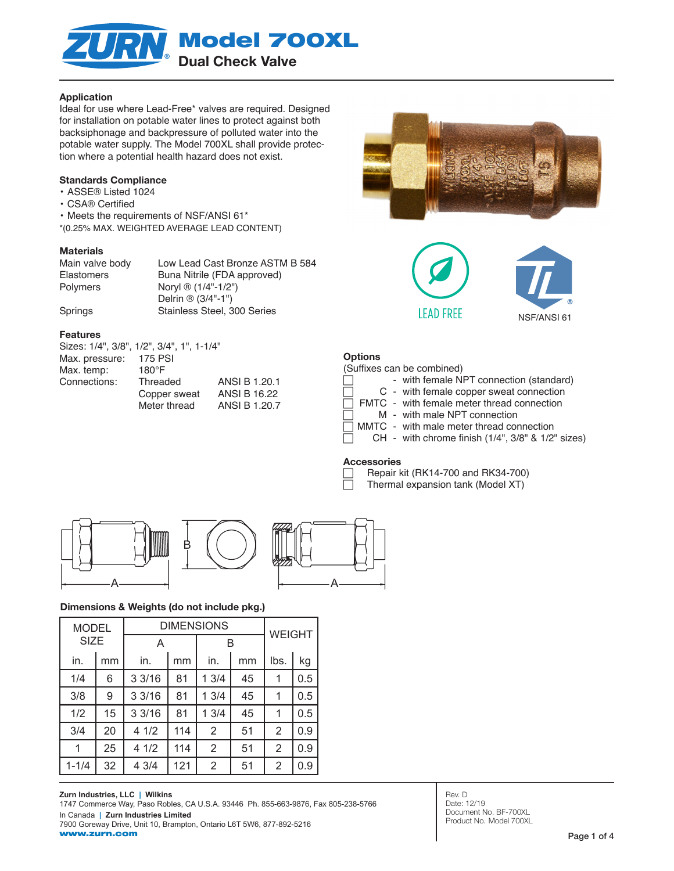

### Application

Ideal for use where Lead-Free\* valves are required. Designed for installation on potable water lines to protect against both backsiphonage and backpressure of polluted water into the potable water supply. The Model 700XL shall provide protection where a potential health hazard does not exist.

### Standards Compliance

- ASSE® Listed 1024
- CSA® Certified
- Meets the requirements of NSF/ANSI 61\*
- \*(0.25% MAX. WEIGHTED AVERAGE LEAD CONTENT)

#### **Materials**

| Main valve body   | Low Lead Cast Bronze ASTM B 584 |
|-------------------|---------------------------------|
| <b>Elastomers</b> | Buna Nitrile (FDA approved)     |
| <b>Polymers</b>   | Noryl ® (1/4"-1/2")             |
|                   | Delrin $\circledR$ (3/4"-1")    |
| Springs           | Stainless Steel, 300 Series     |

#### Features

|                | Sizes: 1/4", 3/8", 1/2", 3/4", 1", 1-1/4" |                     |
|----------------|-------------------------------------------|---------------------|
| Max. pressure: | <b>175 PSI</b>                            |                     |
| Max. temp:     | $180^\circ F$                             |                     |
| Connections:   | Threaded                                  | ANSI B 1.20.1       |
|                | Copper sweat                              | <b>ANSI B 16.22</b> |
|                | Meter thread                              | ANSI B 1.20.7       |





### **Options**

(Suffixes can be combined)

|  | , oammoo oan so oomsmoa <i>j</i>           |
|--|--------------------------------------------|
|  | - with female NPT connection (standard)    |
|  | C - with female copper sweat connection    |
|  | FMTC - with female meter thread connection |
|  | M - with male NPT connection               |
|  | MMTC - with male meter thread connection   |

### CH - with chrome finish (1/4", 3/8" & 1/2" sizes)

### **Accessories**

 Repair kit (RK14-700 and RK34-700) Thermal expansion tank (Model XT)



### Dimensions & Weights (do not include pkg.)

| <b>MODEL</b> |    | <b>DIMENSIONS</b> |     |      | <b>WEIGHT</b> |                |     |
|--------------|----|-------------------|-----|------|---------------|----------------|-----|
| <b>SIZE</b>  |    | A                 |     |      | B             |                |     |
| in.          | mm | in.               | mm  | in.  | mm            | lbs.           | kg  |
| 1/4          | 6  | 33/16             | 81  | 13/4 | 45            | 1              | 0.5 |
| 3/8          | 9  | 33/16             | 81  | 13/4 | 45            | 1              | 0.5 |
| 1/2          | 15 | 33/16             | 81  | 13/4 | 45            | 1              | 0.5 |
| 3/4          | 20 | 4 1/2             | 114 | 2    | 51            | $\overline{2}$ | 0.9 |
|              | 25 | 41/2              | 114 | 2    | 51            | 2              | 0.9 |
| $1 - 1/4$    | 32 | 4 3/4             | 121 | 2    | 51            | 2              | 0.9 |

**Zurn Industries, LLC | Wilkins** 1747 Commerce Way, Paso Robles, CA U.S.A. 93446 Ph. 855-663-9876, Fax 805-238-5766 In Canada **| Zurn Industries Limited** 7900 Goreway Drive, Unit 10, Brampton, Ontario L6T 5W6, 877-892-5216 www.zurn.com

Rev. D Date: 12/19 Document No. BF-700XL Product No. Model 700XL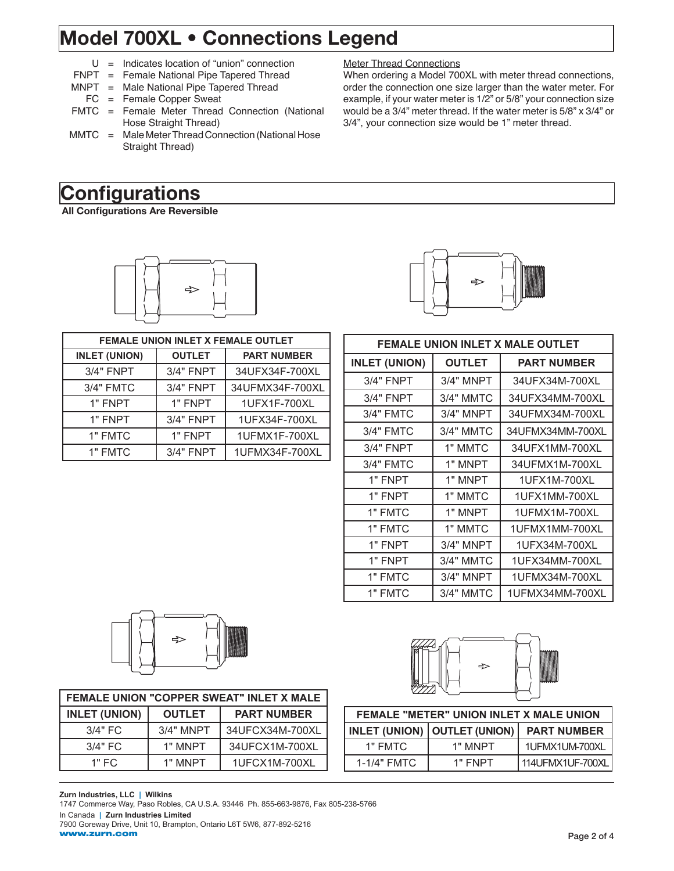## Model 700XL • Connections Legend

- $U =$  Indicates location of "union" connection
- FNPT = Female National Pipe Tapered Thread
- MNPT = Male National Pipe Tapered Thread
	- FC = Female Copper Sweat
- FMTC = Female Meter Thread Connection (National Hose Straight Thread)
- MMTC = Male Meter Thread Connection (National Hose Straight Thread)

# **Configurations**

All Configurations Are Reversible



| <b>FEMALE UNION INLET X FEMALE OUTLET</b> |                  |                    |  |
|-------------------------------------------|------------------|--------------------|--|
| <b>INLET (UNION)</b>                      | <b>OUTLET</b>    | <b>PART NUMBER</b> |  |
| 3/4" FNPT                                 | <b>3/4" FNPT</b> | 34UFX34F-700XL     |  |
| 3/4" FMTC                                 | <b>3/4" FNPT</b> | 34UFMX34F-700XL    |  |
| 1" FNPT                                   | 1" FNPT          | 1UFX1F-700XL       |  |
| 1" FNPT                                   | <b>3/4" FNPT</b> | 1UFX34F-700XL      |  |
| 1" FMTC                                   | 1" FNPT          | 1UFMX1F-700XL      |  |
| 1" FMTC                                   | <b>3/4" FNPT</b> | 1UFMX34F-700XL     |  |



When ordering a Model 700XL with meter thread connections, order the connection one size larger than the water meter. For example, if your water meter is 1/2" or 5/8" your connection size would be a 3/4" meter thread. If the water meter is 5/8" x 3/4" or

3/4", your connection size would be 1" meter thread.

Meter Thread Connections

| FEMALE UNION INLET X MALE OUTLET |                  |                    |  |  |
|----------------------------------|------------------|--------------------|--|--|
| <b>INLET (UNION)</b>             | <b>OUTLET</b>    | <b>PART NUMBER</b> |  |  |
| <b>3/4" FNPT</b>                 | <b>3/4" MNPT</b> | 34UFX34M-700XL     |  |  |
| 3/4" FNPT                        | 3/4" MMTC        | 34UFX34MM-700XL    |  |  |
| 3/4" FMTC                        | <b>3/4" MNPT</b> | 34UFMX34M-700XL    |  |  |
| 3/4" FMTC                        | 3/4" MMTC        | 34UFMX34MM-700XL   |  |  |
| <b>3/4" FNPT</b>                 | 1" MMTC          | 34UFX1MM-700XL     |  |  |
| 3/4" FMTC                        | 1" MNPT          | 34UFMX1M-700XL     |  |  |
| 1" FNPT                          | 1" MNPT          | 1UFX1M-700XL       |  |  |
| 1" FNPT                          | 1" MMTC          | 1UFX1MM-700XL      |  |  |
| 1" FMTC                          | 1" MNPT          | 1UFMX1M-700XL      |  |  |
| 1" FMTC                          | 1" MMTC          | 1UFMX1MM-700XL     |  |  |
| 1" FNPT                          | <b>3/4" MNPT</b> | 1UFX34M-700XL      |  |  |
| 1" FNPT                          | 3/4" MMTC        | 1UFX34MM-700XL     |  |  |
| 1" FMTC                          | <b>3/4" MNPT</b> | 1UFMX34M-700XL     |  |  |
| 1" FMTC                          | 3/4" MMTC        | 1UFMX34MM-700XL    |  |  |



| FEMALE UNION "COPPER SWEAT" INLET X MALE |               |                    |  |
|------------------------------------------|---------------|--------------------|--|
| <b>INLET (UNION)</b>                     | <b>OUTLET</b> | <b>PART NUMBER</b> |  |
| $3/4"$ FC                                | $3/4"$ MNPT   | 34UFCX34M-700XL    |  |
| $3/4"$ FC                                | 1" MNPT       | 34UFCX1M-700XL     |  |
| 1" FC                                    | 1" MNPT       | 1UFCX1M-700XL      |  |



| <b>FEMALE "METER" UNION INLET X MALE UNION</b> |                                |                    |  |
|------------------------------------------------|--------------------------------|--------------------|--|
|                                                | INLET (UNION)   OUTLET (UNION) | <b>PART NUMBER</b> |  |
| 1" FMTC                                        | 1" MNPT                        | 1UFMX1UM-700XL     |  |
| 1-1/4" FMTC                                    | 1" FNPT                        | 114UFMX1UF-700XL   |  |

#### **Zurn Industries, LLC | Wilkins** 1747 Commerce Way, Paso Robles, CA U.S.A. 93446 Ph. 855-663-9876, Fax 805-238-5766 In Canada **| Zurn Industries Limited** 7900 Goreway Drive, Unit 10, Brampton, Ontario L6T 5W6, 877-892-5216 www.zurn.com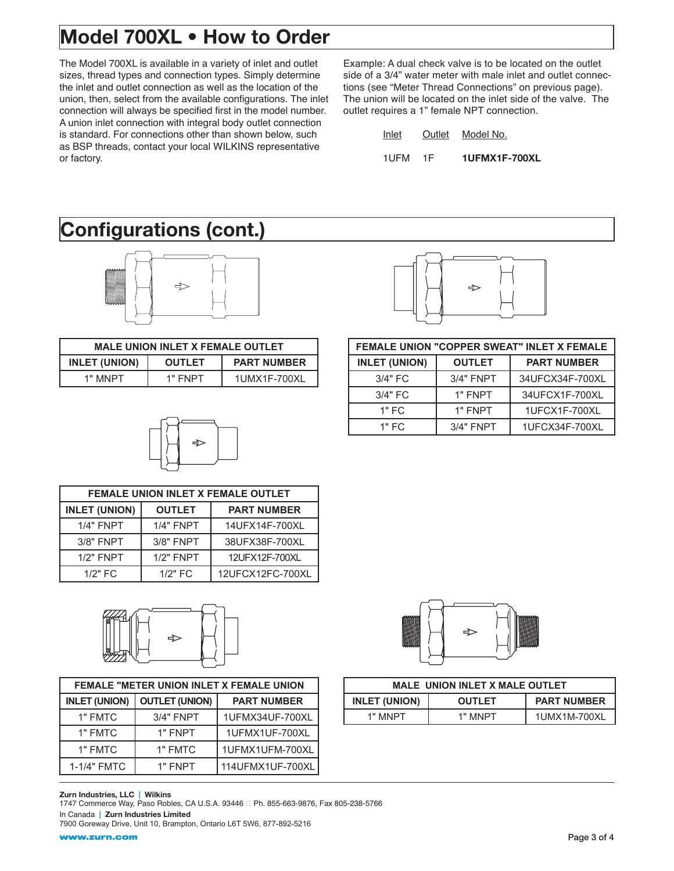# Model 700XL • How to Order

The Model 700XL is available in a variety of inlet and outlet sizes, thread types and connection types. Simply determine the inlet and outlet connection as well as the location of the union, then, select from the available configurations. The inlet connection will always be specified first in the model number. A union inlet connection with integral body outlet connection is standard. For connections other than shown below, such as BSP threads, contact your local WILKINS representative or factory.

Example: A dual check valve is to be located on the outlet side of a 3/4" water meter with male inlet and outlet connections (see "Meter Thread Connections" on previous page). The union will be located on the inlet side of the valve. The outlet requires a 1" female NPT connection.

| Inlet | Outlet | Model No.     |
|-------|--------|---------------|
| 1UFM  | 1E     | 1UFMX1F-700XL |

## Configurations (cont.)



| <b>MALE UNION INLET X FEMALE OUTLET</b>                     |         |              |  |  |
|-------------------------------------------------------------|---------|--------------|--|--|
| <b>INLET (UNION)</b><br><b>PART NUMBER</b><br><b>OUTLET</b> |         |              |  |  |
| 1" MNPT                                                     | 1" FNPT | 1UMX1F-700XL |  |  |



| <b>FEMALE UNION INLET X FEMALE OUTLET</b> |                  |                    |  |
|-------------------------------------------|------------------|--------------------|--|
| <b>INLET (UNION)</b>                      | <b>OUTLET</b>    | <b>PART NUMBER</b> |  |
| <b>1/4" FNPT</b>                          | <b>1/4" FNPT</b> | 14UFX14F-700XL     |  |
| 3/8" FNPT                                 | 3/8" FNPT        | 38UFX38F-700XL     |  |
| 1/2" FNPT                                 | $1/2"$ FNPT      | 12UFX12F-700XL     |  |
| $1/2"$ FC                                 | $1/2"$ FC        | 12UFCX12FC-700XL   |  |



| <b>FEMALE "METER UNION INLET X FEMALE UNION</b> |                       |                    |  |
|-------------------------------------------------|-----------------------|--------------------|--|
| <b>INLET (UNION)</b>                            | <b>OUTLET (UNION)</b> | <b>PART NUMBER</b> |  |
| 1" FMTC                                         | <b>3/4" FNPT</b>      | 1UFMX34UF-700XL    |  |
| 1" FMTC                                         | 1" FNPT               | 1UFMX1UF-700XL     |  |
| 1" FMTC                                         | 1" FMTC               | 1UFMX1UFM-700XL    |  |
| 1-1/4" FMTC                                     | 1" FNPT               | 114UFMX1UF-700XL   |  |

### Zurn Industries, LLC | Wilkins

www.zurn.com

1747 Commerce Way, Paso Robles, CA U.S.A. 93446 <sup>D</sup> Ph. 855-663-9876, Fax 805-238-5766 In Canada | Zurn Industries Limited 7900 Goreway Drive, Unit 10, Brampton, Ontario L6T 5W6, 877-892-5216



| <b>MALE UNION INLET X MALE OUTLET</b> |               |                    |  |  |  |
|---------------------------------------|---------------|--------------------|--|--|--|
| <b>INLET (UNION)</b>                  | <b>OUTLET</b> | <b>PART NUMBER</b> |  |  |  |
| 1" MNPT                               | 1" MNPT       | 1UMX1M-700XL       |  |  |  |



| FEMALE UNION "COPPER SWEAT" INLET X FEMALE |                  |                    |  |  |
|--------------------------------------------|------------------|--------------------|--|--|
| <b>INLET (UNION)</b>                       | <b>OUTLET</b>    | <b>PART NUMBER</b> |  |  |
| 3/4" FC                                    | <b>3/4" FNPT</b> | 34UFCX34F-700XL    |  |  |
| $3/4"$ FC                                  | 1" FNPT          | 34UFCX1F-700XL     |  |  |
| $1"$ FC                                    | 1" FNPT          | 1UFCX1F-700XL      |  |  |
| $1"$ FC                                    | $3/4"$ FNPT      | 1UFCX34F-700XL     |  |  |